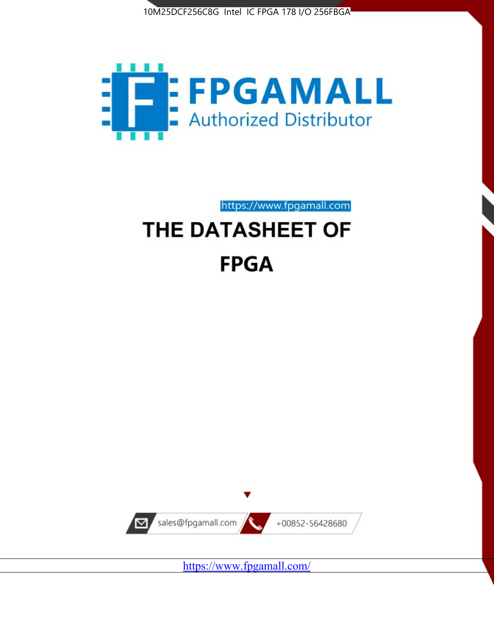



https://www.fpgamall.com THE DATASHEET OF

# **FPGA**



<https://www.fpgamall.com/>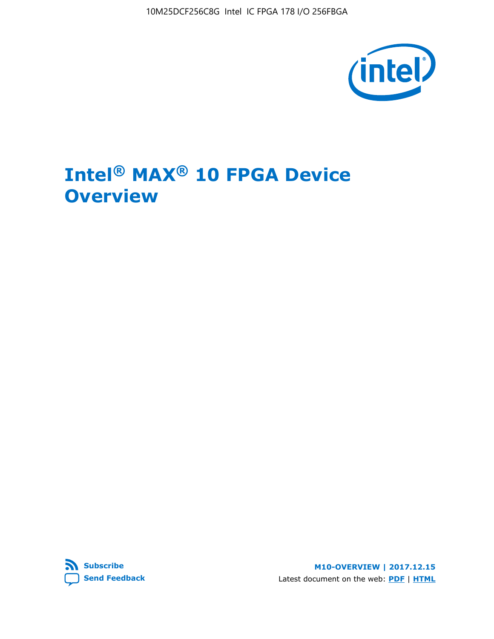10M25DCF256C8G Intel IC FPGA 178 I/O 256FBGA



# **Intel® MAX® 10 FPGA Device Overview**



**M10-OVERVIEW | 2017.12.15** Latest document on the web: **[PDF](https://www.altera.com/en_US/pdfs/literature/hb/max-10/m10_overview.pdf)** | **[HTML](https://www.altera.com/documentation/myt1396938463674.html)**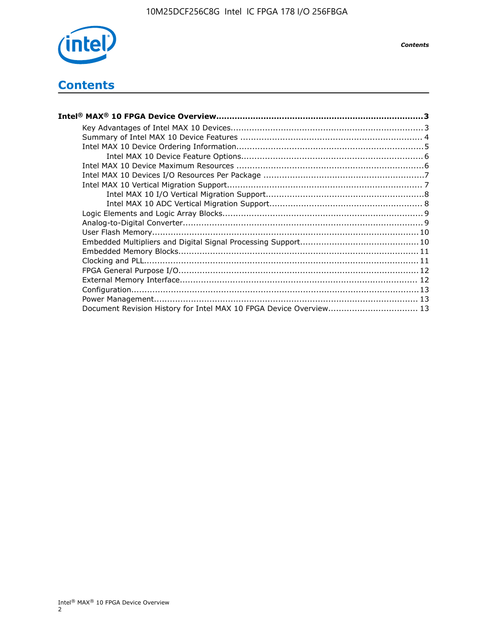

*Contents*

# **Contents**

| Intel® MAX® 10 FPGA Device Overview……………………………………………………………………………3  |  |
|--------------------------------------------------------------------|--|
|                                                                    |  |
|                                                                    |  |
|                                                                    |  |
|                                                                    |  |
|                                                                    |  |
|                                                                    |  |
|                                                                    |  |
|                                                                    |  |
|                                                                    |  |
|                                                                    |  |
|                                                                    |  |
|                                                                    |  |
|                                                                    |  |
|                                                                    |  |
|                                                                    |  |
|                                                                    |  |
|                                                                    |  |
|                                                                    |  |
|                                                                    |  |
| Document Revision History for Intel MAX 10 FPGA Device Overview 13 |  |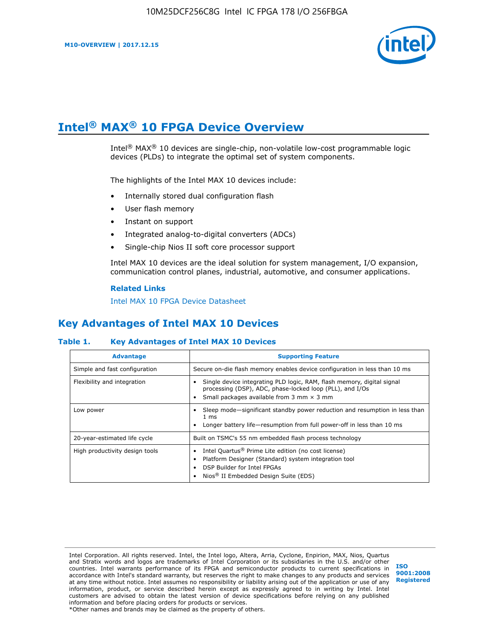

# **Intel® MAX® 10 FPGA Device Overview**

Intel<sup>®</sup> MAX<sup>®</sup> 10 devices are single-chip, non-volatile low-cost programmable logic devices (PLDs) to integrate the optimal set of system components.

The highlights of the Intel MAX 10 devices include:

- Internally stored dual configuration flash
- User flash memory
- Instant on support
- Integrated analog-to-digital converters (ADCs)
- Single-chip Nios II soft core processor support

Intel MAX 10 devices are the ideal solution for system management, I/O expansion, communication control planes, industrial, automotive, and consumer applications.

#### **Related Links**

[Intel MAX 10 FPGA Device Datasheet](https://www.altera.com/documentation/mcn1397700832153.html#mcn1397643748870)

## **Key Advantages of Intel MAX 10 Devices**

## **Table 1. Key Advantages of Intel MAX 10 Devices**

| <b>Advantage</b>               | <b>Supporting Feature</b>                                                                                                                                                                                  |
|--------------------------------|------------------------------------------------------------------------------------------------------------------------------------------------------------------------------------------------------------|
| Simple and fast configuration  | Secure on-die flash memory enables device configuration in less than 10 ms                                                                                                                                 |
| Flexibility and integration    | Single device integrating PLD logic, RAM, flash memory, digital signal<br>processing (DSP), ADC, phase-locked loop (PLL), and I/Os<br>Small packages available from 3 mm $\times$ 3 mm                     |
| Low power                      | Sleep mode—significant standby power reduction and resumption in less than<br>$1 \text{ ms}$<br>Longer battery life-resumption from full power-off in less than 10 ms                                      |
| 20-year-estimated life cycle   | Built on TSMC's 55 nm embedded flash process technology                                                                                                                                                    |
| High productivity design tools | Intel Quartus <sup>®</sup> Prime Lite edition (no cost license)<br>Platform Designer (Standard) system integration tool<br>DSP Builder for Intel FPGAs<br>Nios <sup>®</sup> II Embedded Design Suite (EDS) |

Intel Corporation. All rights reserved. Intel, the Intel logo, Altera, Arria, Cyclone, Enpirion, MAX, Nios, Quartus and Stratix words and logos are trademarks of Intel Corporation or its subsidiaries in the U.S. and/or other countries. Intel warrants performance of its FPGA and semiconductor products to current specifications in accordance with Intel's standard warranty, but reserves the right to make changes to any products and services at any time without notice. Intel assumes no responsibility or liability arising out of the application or use of any information, product, or service described herein except as expressly agreed to in writing by Intel. Intel customers are advised to obtain the latest version of device specifications before relying on any published information and before placing orders for products or services. \*Other names and brands may be claimed as the property of others.

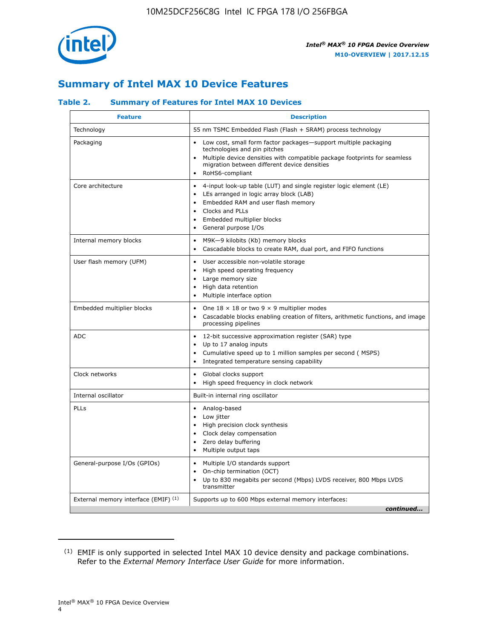

# **Summary of Intel MAX 10 Device Features**

## **Table 2. Summary of Features for Intel MAX 10 Devices**

| <b>Feature</b>                       | <b>Description</b>                                                                                                                                                                                                                                                                                         |
|--------------------------------------|------------------------------------------------------------------------------------------------------------------------------------------------------------------------------------------------------------------------------------------------------------------------------------------------------------|
| Technology                           | 55 nm TSMC Embedded Flash (Flash + SRAM) process technology                                                                                                                                                                                                                                                |
| Packaging                            | Low cost, small form factor packages-support multiple packaging<br>technologies and pin pitches<br>Multiple device densities with compatible package footprints for seamless<br>migration between different device densities<br>RoHS6-compliant                                                            |
| Core architecture                    | 4-input look-up table (LUT) and single register logic element (LE)<br>$\bullet$<br>LEs arranged in logic array block (LAB)<br>$\bullet$<br>Embedded RAM and user flash memory<br>$\bullet$<br>Clocks and PLLs<br>$\bullet$<br>Embedded multiplier blocks<br>$\bullet$<br>General purpose I/Os<br>$\bullet$ |
| Internal memory blocks               | M9K-9 kilobits (Kb) memory blocks<br>$\bullet$<br>Cascadable blocks to create RAM, dual port, and FIFO functions<br>$\bullet$                                                                                                                                                                              |
| User flash memory (UFM)              | User accessible non-volatile storage<br>$\bullet$<br>High speed operating frequency<br>$\bullet$<br>Large memory size<br>High data retention<br>$\bullet$<br>Multiple interface option                                                                                                                     |
| Embedded multiplier blocks           | One $18 \times 18$ or two 9 $\times$ 9 multiplier modes<br>$\bullet$<br>Cascadable blocks enabling creation of filters, arithmetic functions, and image<br>processing pipelines                                                                                                                            |
| <b>ADC</b>                           | 12-bit successive approximation register (SAR) type<br>$\bullet$<br>Up to 17 analog inputs<br>$\bullet$<br>Cumulative speed up to 1 million samples per second (MSPS)<br>Integrated temperature sensing capability<br>$\bullet$                                                                            |
| Clock networks                       | Global clocks support<br>$\bullet$<br>High speed frequency in clock network                                                                                                                                                                                                                                |
| Internal oscillator                  | Built-in internal ring oscillator                                                                                                                                                                                                                                                                          |
| PLLs                                 | • Analog-based<br>Low jitter<br>$\bullet$<br>High precision clock synthesis<br>$\bullet$<br>Clock delay compensation<br>$\bullet$<br>Zero delay buffering<br>$\bullet$<br>Multiple output taps<br>$\bullet$                                                                                                |
| General-purpose I/Os (GPIOs)         | • Multiple I/O standards support<br>On-chip termination (OCT)<br>$\bullet$<br>Up to 830 megabits per second (Mbps) LVDS receiver, 800 Mbps LVDS<br>transmitter                                                                                                                                             |
| External memory interface (EMIF) (1) | Supports up to 600 Mbps external memory interfaces:<br>continued                                                                                                                                                                                                                                           |

<sup>(1)</sup> EMIF is only supported in selected Intel MAX 10 device density and package combinations. Refer to the *External Memory Interface User Guide* for more information.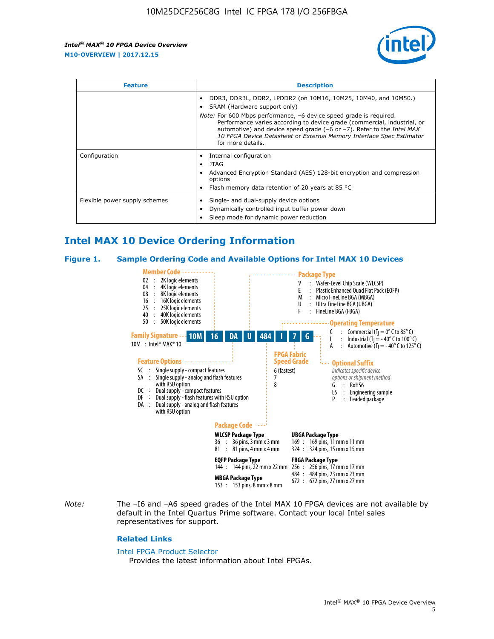

| <b>Feature</b>                | <b>Description</b>                                                                                                                                                                                                                                                                                                                             |  |  |  |
|-------------------------------|------------------------------------------------------------------------------------------------------------------------------------------------------------------------------------------------------------------------------------------------------------------------------------------------------------------------------------------------|--|--|--|
|                               | DDR3, DDR3L, DDR2, LPDDR2 (on 10M16, 10M25, 10M40, and 10M50.)<br>SRAM (Hardware support only)                                                                                                                                                                                                                                                 |  |  |  |
|                               | <i>Note:</i> For 600 Mbps performance, -6 device speed grade is required.<br>Performance varies according to device grade (commercial, industrial, or<br>automotive) and device speed grade $(-6 \text{ or } -7)$ . Refer to the <i>Intel MAX</i><br>10 FPGA Device Datasheet or External Memory Interface Spec Estimator<br>for more details. |  |  |  |
| Configuration                 | Internal configuration                                                                                                                                                                                                                                                                                                                         |  |  |  |
|                               | JTAG<br>٠                                                                                                                                                                                                                                                                                                                                      |  |  |  |
|                               | Advanced Encryption Standard (AES) 128-bit encryption and compression<br>options                                                                                                                                                                                                                                                               |  |  |  |
|                               | Flash memory data retention of 20 years at 85 $^{\circ}$ C                                                                                                                                                                                                                                                                                     |  |  |  |
| Flexible power supply schemes | Single- and dual-supply device options                                                                                                                                                                                                                                                                                                         |  |  |  |
|                               | Dynamically controlled input buffer power down                                                                                                                                                                                                                                                                                                 |  |  |  |
|                               | Sleep mode for dynamic power reduction                                                                                                                                                                                                                                                                                                         |  |  |  |

# **Intel MAX 10 Device Ordering Information**

#### **Figure 1. Sample Ordering Code and Available Options for Intel MAX 10 Devices**



*Note:* The –I6 and –A6 speed grades of the Intel MAX 10 FPGA devices are not available by default in the Intel Quartus Prime software. Contact your local Intel sales representatives for support.

#### **Related Links**

#### [Intel FPGA Product Selector](http://www.altera.com/products/selector/psg-selector.html)

Provides the latest information about Intel FPGAs.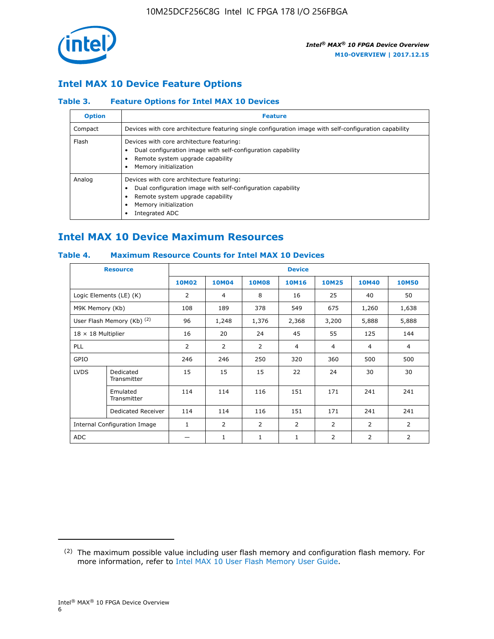

## **Intel MAX 10 Device Feature Options**

## **Table 3. Feature Options for Intel MAX 10 Devices**

| <b>Option</b> | <b>Feature</b>                                                                                                                                                                          |
|---------------|-----------------------------------------------------------------------------------------------------------------------------------------------------------------------------------------|
| Compact       | Devices with core architecture featuring single configuration image with self-configuration capability                                                                                  |
| Flash         | Devices with core architecture featuring:<br>Dual configuration image with self-configuration capability<br>Remote system upgrade capability<br>Memory initialization                   |
| Analog        | Devices with core architecture featuring:<br>Dual configuration image with self-configuration capability<br>Remote system upgrade capability<br>Memory initialization<br>Integrated ADC |

# **Intel MAX 10 Device Maximum Resources**

## **Table 4. Maximum Resource Counts for Intel MAX 10 Devices**

|                           | <b>Resource</b>              | <b>Device</b>  |              |              |                |                |              |                |
|---------------------------|------------------------------|----------------|--------------|--------------|----------------|----------------|--------------|----------------|
|                           |                              | <b>10M02</b>   | <b>10M04</b> | <b>10M08</b> | <b>10M16</b>   | <b>10M25</b>   | <b>10M40</b> | <b>10M50</b>   |
|                           | Logic Elements (LE) (K)      | $\overline{2}$ | 4            | 8            | 16             | 25             | 40           | 50             |
| M9K Memory (Kb)           |                              | 108            | 189          | 378          | 549            | 675            | 1,260        | 1,638          |
|                           | User Flash Memory (Kb) (2)   | 96             | 1,248        | 1,376        | 2,368          | 3,200          | 5,888        | 5,888          |
| $18 \times 18$ Multiplier |                              | 16             | 20           | 24           | 45             | 55             | 125          | 144            |
| <b>PLL</b>                |                              | 2              | 2            | 2            | $\overline{4}$ | $\overline{4}$ | 4            | $\overline{4}$ |
| GPIO                      |                              | 246            | 246          | 250          | 320            | 360            | 500          | 500            |
| <b>LVDS</b>               | Dedicated<br>Transmitter     | 15             | 15           | 15           | 22             | 24             | 30           | 30             |
|                           | Emulated<br>Transmitter      | 114            | 114          | 116          | 151            | 171            | 241          | 241            |
|                           | Dedicated Receiver           | 114            | 114          | 116          | 151            | 171            | 241          | 241            |
|                           | Internal Configuration Image | $\mathbf{1}$   | 2            | 2            | $\overline{2}$ | 2              | 2            | $\overline{2}$ |
| <b>ADC</b>                |                              |                | 1            | 1            | $\mathbf{1}$   | 2              | 2            | 2              |

<sup>(2)</sup> The maximum possible value including user flash memory and configuration flash memory. For more information, refer to [Intel MAX 10 User Flash Memory User Guide](https://www.altera.com/documentation/vgo1395753117436.html#vgo1395811844282).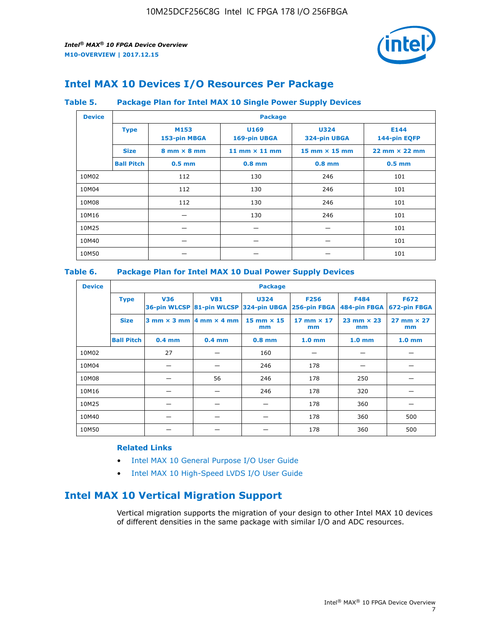

# **Intel MAX 10 Devices I/O Resources Per Package**

## **Table 5. Package Plan for Intel MAX 10 Single Power Supply Devices**

| <b>Device</b> |                   | <b>Package</b>                     |                      |                             |                                      |  |  |  |
|---------------|-------------------|------------------------------------|----------------------|-----------------------------|--------------------------------------|--|--|--|
|               | <b>Type</b>       | M153<br>153-pin MBGA               | U169<br>169-pin UBGA | <b>U324</b><br>324-pin UBGA | E144<br>144-pin EQFP                 |  |  |  |
|               | <b>Size</b>       | $8 \text{ mm} \times 8 \text{ mm}$ | 11 mm $\times$ 11 mm | 15 mm $\times$ 15 mm        | $22 \text{ mm} \times 22 \text{ mm}$ |  |  |  |
|               | <b>Ball Pitch</b> | $0.5$ mm                           | $0.8$ mm             | $0.8$ mm                    | $0.5$ mm                             |  |  |  |
| 10M02         |                   | 112                                | 130                  | 246                         | 101                                  |  |  |  |
| 10M04         |                   | 112                                | 130                  | 246                         | 101                                  |  |  |  |
| 10M08         |                   | 112                                | 130                  | 246                         | 101                                  |  |  |  |
| 10M16         |                   |                                    | 130                  | 246                         | 101                                  |  |  |  |
| 10M25         |                   |                                    |                      |                             | 101                                  |  |  |  |
| 10M40         |                   |                                    |                      |                             | 101                                  |  |  |  |
| 10M50         |                   |                                    |                      |                             | 101                                  |  |  |  |

## **Table 6. Package Plan for Intel MAX 10 Dual Power Supply Devices**

| <b>Device</b> |                   | <b>Package</b> |                                                |                                                                    |                           |                             |                             |  |
|---------------|-------------------|----------------|------------------------------------------------|--------------------------------------------------------------------|---------------------------|-----------------------------|-----------------------------|--|
|               | <b>Type</b>       | <b>V36</b>     | <b>V81</b>                                     | <b>U324</b><br>36-pin WLCSP 81-pin WLCSP 324-pin UBGA 256-pin FBGA | <b>F256</b>               | <b>F484</b><br>484-pin FBGA | <b>F672</b><br>672-pin FBGA |  |
|               | <b>Size</b>       |                | $3$ mm $\times$ 3 mm $ 4$ mm $\times$ 4 mm $ $ | $15$ mm $\times$ 15<br>mm                                          | $17$ mm $\times$ 17<br>mm | $23$ mm $\times$ 23<br>mm   | $27$ mm $\times$ 27<br>mm   |  |
|               | <b>Ball Pitch</b> | $0.4$ mm       | $0.4$ mm                                       | $0.8$ mm                                                           | 1.0 <sub>mm</sub>         | 1.0 <sub>mm</sub>           | 1.0 <sub>mm</sub>           |  |
| 10M02         |                   | 27             |                                                | 160                                                                |                           |                             |                             |  |
| 10M04         |                   |                |                                                | 246                                                                | 178                       |                             |                             |  |
| 10M08         |                   |                | 56                                             | 246                                                                | 178                       | 250                         |                             |  |
| 10M16         |                   |                |                                                | 246                                                                | 178                       | 320                         |                             |  |
| 10M25         |                   |                |                                                |                                                                    | 178                       | 360                         |                             |  |
| 10M40         |                   |                |                                                |                                                                    | 178                       | 360                         | 500                         |  |
| 10M50         |                   |                |                                                |                                                                    | 178                       | 360                         | 500                         |  |

## **Related Links**

- [Intel MAX 10 General Purpose I/O User Guide](https://www.altera.com/documentation/sam1393999966669.html#sam1394000084476)
- [Intel MAX 10 High-Speed LVDS I/O User Guide](https://www.altera.com/documentation/sam1394433606063.html#sam1394433911642)

# **Intel MAX 10 Vertical Migration Support**

Vertical migration supports the migration of your design to other Intel MAX 10 devices of different densities in the same package with similar I/O and ADC resources.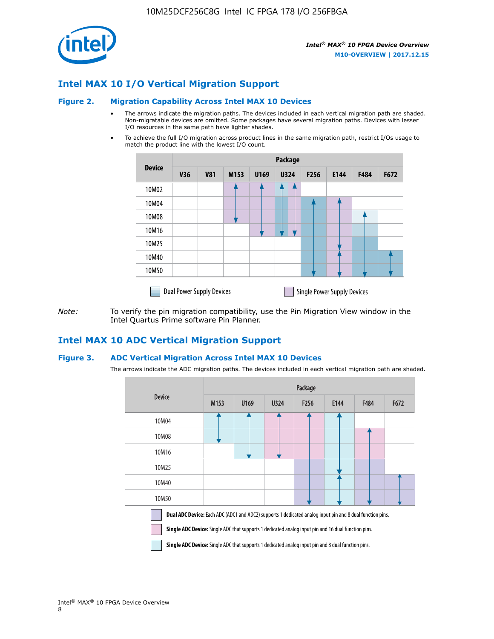

## **Intel MAX 10 I/O Vertical Migration Support**

#### **Figure 2. Migration Capability Across Intel MAX 10 Devices**

- The arrows indicate the migration paths. The devices included in each vertical migration path are shaded. Non-migratable devices are omitted. Some packages have several migration paths. Devices with lesser I/O resources in the same path have lighter shades.
- To achieve the full I/O migration across product lines in the same migration path, restrict I/Os usage to match the product line with the lowest I/O count.

|               | <b>Package</b>                   |            |      |      |             |                  |                                    |      |      |
|---------------|----------------------------------|------------|------|------|-------------|------------------|------------------------------------|------|------|
| <b>Device</b> | <b>V36</b>                       | <b>V81</b> | M153 | U169 | <b>U324</b> | F <sub>256</sub> | E144                               | F484 | F672 |
| 10M02         |                                  |            |      |      | 7           |                  |                                    |      |      |
| 10M04         |                                  |            |      |      |             |                  |                                    |      |      |
| 10M08         |                                  |            |      |      |             |                  |                                    |      |      |
| 10M16         |                                  |            |      |      |             |                  |                                    |      |      |
| 10M25         |                                  |            |      |      |             |                  |                                    |      |      |
| 10M40         |                                  |            |      |      |             |                  |                                    |      |      |
| 10M50         |                                  |            |      |      |             |                  |                                    |      |      |
|               | <b>Dual Power Supply Devices</b> |            |      |      |             |                  | <b>Single Power Supply Devices</b> |      |      |

*Note:* To verify the pin migration compatibility, use the Pin Migration View window in the Intel Quartus Prime software Pin Planner.

## **Intel MAX 10 ADC Vertical Migration Support**

#### **Figure 3. ADC Vertical Migration Across Intel MAX 10 Devices**

The arrows indicate the ADC migration paths. The devices included in each vertical migration path are shaded.

|                                                                                                                                                                                                                  | Package          |      |      |                  |      |      |      |  |
|------------------------------------------------------------------------------------------------------------------------------------------------------------------------------------------------------------------|------------------|------|------|------------------|------|------|------|--|
| <b>Device</b>                                                                                                                                                                                                    | M <sub>153</sub> | U169 | U324 | F <sub>256</sub> | E144 | F484 | F672 |  |
| 10M04                                                                                                                                                                                                            |                  |      |      |                  |      |      |      |  |
| 10M08                                                                                                                                                                                                            |                  |      |      |                  |      |      |      |  |
| 10M16                                                                                                                                                                                                            |                  |      |      |                  |      |      |      |  |
| 10M25                                                                                                                                                                                                            |                  |      |      |                  |      |      |      |  |
| 10M40                                                                                                                                                                                                            |                  |      |      |                  |      |      |      |  |
| 10M50                                                                                                                                                                                                            |                  |      |      |                  |      |      |      |  |
| Dual ADC Device: Each ADC (ADC1 and ADC2) supports 1 dedicated analog input pin and 8 dual function pins.<br>Single ADC Device: Single ADC that supports 1 dedicated analog input pin and 16 dual function pins. |                  |      |      |                  |      |      |      |  |

**Single ADC Device:** Single ADC that supports 1 dedicated analog input pin and 8 dual function pins.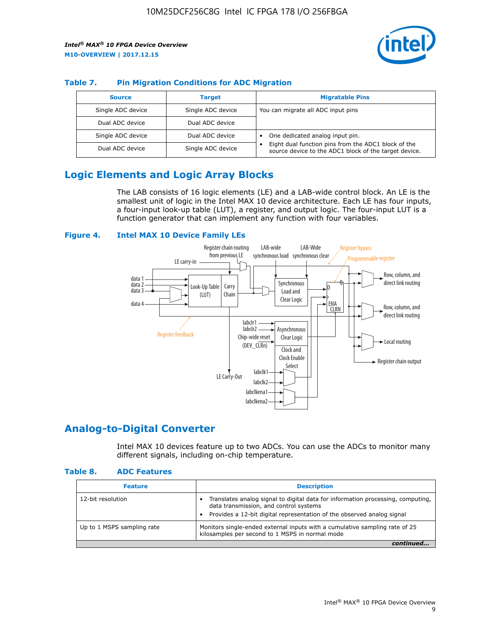

## **Table 7. Pin Migration Conditions for ADC Migration**

| <b>Source</b>     | <b>Target</b>     | <b>Migratable Pins</b>                                                                                            |
|-------------------|-------------------|-------------------------------------------------------------------------------------------------------------------|
| Single ADC device | Single ADC device | You can migrate all ADC input pins                                                                                |
| Dual ADC device   | Dual ADC device   |                                                                                                                   |
| Single ADC device | Dual ADC device   | One dedicated analog input pin.                                                                                   |
| Dual ADC device   | Single ADC device | Eight dual function pins from the ADC1 block of the<br>٠<br>source device to the ADC1 block of the target device. |

# **Logic Elements and Logic Array Blocks**

The LAB consists of 16 logic elements (LE) and a LAB-wide control block. An LE is the smallest unit of logic in the Intel MAX 10 device architecture. Each LE has four inputs, a four-input look-up table (LUT), a register, and output logic. The four-input LUT is a function generator that can implement any function with four variables.

### **Figure 4. Intel MAX 10 Device Family LEs**



## **Analog-to-Digital Converter**

Intel MAX 10 devices feature up to two ADCs. You can use the ADCs to monitor many different signals, including on-chip temperature.

#### **Table 8. ADC Features**

| <b>Feature</b>             | <b>Description</b>                                                                                                                                                                                  |
|----------------------------|-----------------------------------------------------------------------------------------------------------------------------------------------------------------------------------------------------|
| 12-bit resolution          | Translates analog signal to digital data for information processing, computing,<br>data transmission, and control systems<br>Provides a 12-bit digital representation of the observed analog signal |
| Up to 1 MSPS sampling rate | Monitors single-ended external inputs with a cumulative sampling rate of 25<br>kilosamples per second to 1 MSPS in normal mode                                                                      |
|                            |                                                                                                                                                                                                     |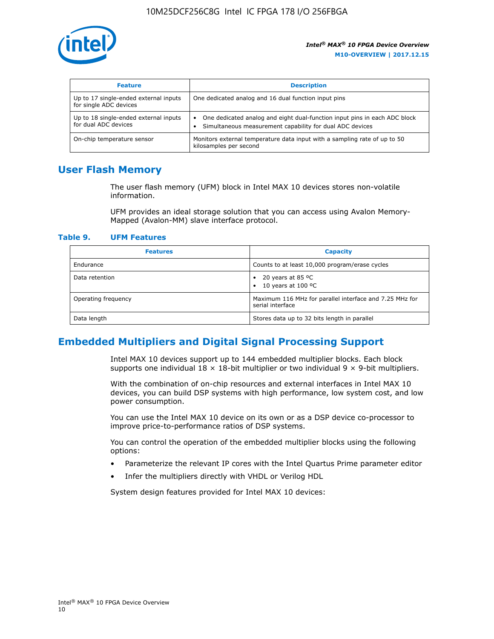

| <b>Feature</b>                                                  | <b>Description</b>                                                                                                                         |
|-----------------------------------------------------------------|--------------------------------------------------------------------------------------------------------------------------------------------|
| Up to 17 single-ended external inputs<br>for single ADC devices | One dedicated analog and 16 dual function input pins                                                                                       |
| Up to 18 single-ended external inputs<br>for dual ADC devices   | One dedicated analog and eight dual-function input pins in each ADC block<br>٠<br>Simultaneous measurement capability for dual ADC devices |
| On-chip temperature sensor                                      | Monitors external temperature data input with a sampling rate of up to 50<br>kilosamples per second                                        |

## **User Flash Memory**

The user flash memory (UFM) block in Intel MAX 10 devices stores non-volatile information.

UFM provides an ideal storage solution that you can access using Avalon Memory-Mapped (Avalon-MM) slave interface protocol.

#### **Table 9. UFM Features**

| <b>Features</b>     | <b>Capacity</b>                                                             |
|---------------------|-----------------------------------------------------------------------------|
| Endurance           | Counts to at least 10,000 program/erase cycles                              |
| Data retention      | 20 years at 85 °C<br>٠<br>10 years at 100 °C<br>$\bullet$                   |
| Operating frequency | Maximum 116 MHz for parallel interface and 7.25 MHz for<br>serial interface |
| Data length         | Stores data up to 32 bits length in parallel                                |

## **Embedded Multipliers and Digital Signal Processing Support**

Intel MAX 10 devices support up to 144 embedded multiplier blocks. Each block supports one individual  $18 \times 18$ -bit multiplier or two individual  $9 \times 9$ -bit multipliers.

With the combination of on-chip resources and external interfaces in Intel MAX 10 devices, you can build DSP systems with high performance, low system cost, and low power consumption.

You can use the Intel MAX 10 device on its own or as a DSP device co-processor to improve price-to-performance ratios of DSP systems.

You can control the operation of the embedded multiplier blocks using the following options:

- Parameterize the relevant IP cores with the Intel Quartus Prime parameter editor
- Infer the multipliers directly with VHDL or Verilog HDL

System design features provided for Intel MAX 10 devices: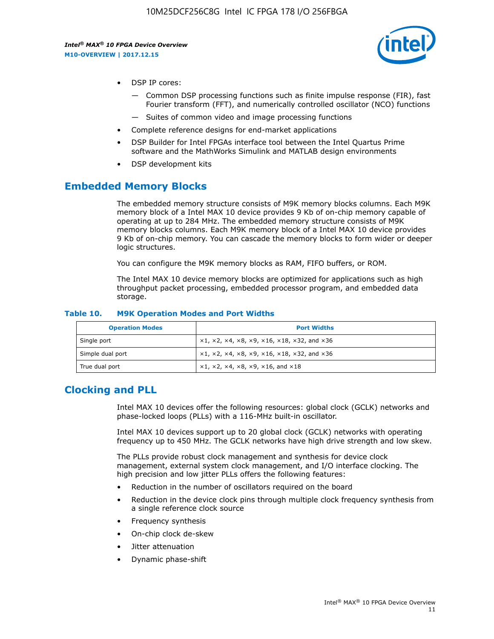

- DSP IP cores:
	- Common DSP processing functions such as finite impulse response (FIR), fast Fourier transform (FFT), and numerically controlled oscillator (NCO) functions
	- Suites of common video and image processing functions
- Complete reference designs for end-market applications
- DSP Builder for Intel FPGAs interface tool between the Intel Quartus Prime software and the MathWorks Simulink and MATLAB design environments
- DSP development kits

## **Embedded Memory Blocks**

The embedded memory structure consists of M9K memory blocks columns. Each M9K memory block of a Intel MAX 10 device provides 9 Kb of on-chip memory capable of operating at up to 284 MHz. The embedded memory structure consists of M9K memory blocks columns. Each M9K memory block of a Intel MAX 10 device provides 9 Kb of on-chip memory. You can cascade the memory blocks to form wider or deeper logic structures.

You can configure the M9K memory blocks as RAM, FIFO buffers, or ROM.

The Intel MAX 10 device memory blocks are optimized for applications such as high throughput packet processing, embedded processor program, and embedded data storage.

| <b>Operation Modes</b> | <b>Port Widths</b>                                                            |
|------------------------|-------------------------------------------------------------------------------|
| Single port            | $x1, x2, x4, x8, x9, x16, x18, x32, and x36$                                  |
| Simple dual port       | $x1, x2, x4, x8, x9, x16, x18, x32, and x36$                                  |
| True dual port         | $\times1, \times2, \times4, \times8, \times9, \times16, \text{and } \times18$ |

#### **Table 10. M9K Operation Modes and Port Widths**

# **Clocking and PLL**

Intel MAX 10 devices offer the following resources: global clock (GCLK) networks and phase-locked loops (PLLs) with a 116-MHz built-in oscillator.

Intel MAX 10 devices support up to 20 global clock (GCLK) networks with operating frequency up to 450 MHz. The GCLK networks have high drive strength and low skew.

The PLLs provide robust clock management and synthesis for device clock management, external system clock management, and I/O interface clocking. The high precision and low jitter PLLs offers the following features:

- Reduction in the number of oscillators required on the board
- Reduction in the device clock pins through multiple clock frequency synthesis from a single reference clock source
- Frequency synthesis
- On-chip clock de-skew
- Jitter attenuation
- Dynamic phase-shift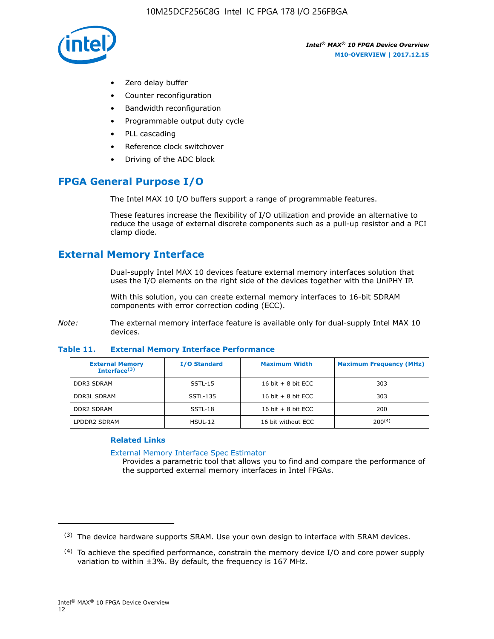

- Zero delay buffer
- Counter reconfiguration
- Bandwidth reconfiguration
- Programmable output duty cycle
- PLL cascading
- Reference clock switchover
- Driving of the ADC block

# **FPGA General Purpose I/O**

The Intel MAX 10 I/O buffers support a range of programmable features.

These features increase the flexibility of I/O utilization and provide an alternative to reduce the usage of external discrete components such as a pull-up resistor and a PCI clamp diode.

# **External Memory Interface**

Dual-supply Intel MAX 10 devices feature external memory interfaces solution that uses the I/O elements on the right side of the devices together with the UniPHY IP.

With this solution, you can create external memory interfaces to 16-bit SDRAM components with error correction coding (ECC).

*Note:* The external memory interface feature is available only for dual-supply Intel MAX 10 devices.

### **Table 11. External Memory Interface Performance**

| <b>External Memory</b><br>Interface <sup>(3)</sup> | <b>I/O Standard</b> | <b>Maximum Width</b> | <b>Maximum Frequency (MHz)</b> |
|----------------------------------------------------|---------------------|----------------------|--------------------------------|
| <b>DDR3 SDRAM</b>                                  | SSTL-15             | 16 bit $+8$ bit ECC  | 303                            |
| <b>DDR3L SDRAM</b>                                 | SSTL-135            | 16 bit $+8$ bit ECC  | 303                            |
| <b>DDR2 SDRAM</b>                                  | SSTL-18             | 16 bit $+8$ bit ECC  | 200                            |
| LPDDR2 SDRAM                                       | $H SUL-12$          | 16 bit without ECC   | 200(4)                         |

## **Related Links**

[External Memory Interface Spec Estimator](http://www.altera.com/technology/memory/estimator/mem-emif-index.html)

Provides a parametric tool that allows you to find and compare the performance of the supported external memory interfaces in Intel FPGAs.

 $(3)$  The device hardware supports SRAM. Use your own design to interface with SRAM devices.

 $(4)$  To achieve the specified performance, constrain the memory device I/O and core power supply variation to within ±3%. By default, the frequency is 167 MHz.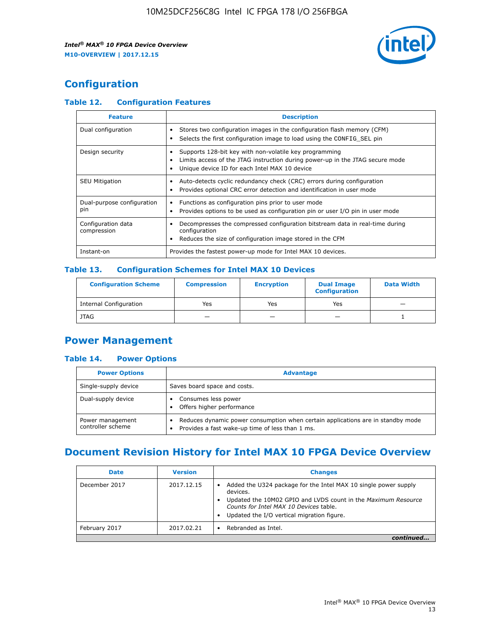

# **Configuration**

## **Table 12. Configuration Features**

| <b>Feature</b>                    | <b>Description</b>                                                                                                                                                                       |
|-----------------------------------|------------------------------------------------------------------------------------------------------------------------------------------------------------------------------------------|
| Dual configuration                | Stores two configuration images in the configuration flash memory (CFM)<br>Selects the first configuration image to load using the CONFIG SEL pin<br>$\bullet$                           |
| Design security                   | Supports 128-bit key with non-volatile key programming<br>Limits access of the JTAG instruction during power-up in the JTAG secure mode<br>Unique device ID for each Intel MAX 10 device |
| <b>SEU Mitigation</b>             | Auto-detects cyclic redundancy check (CRC) errors during configuration<br>Provides optional CRC error detection and identification in user mode                                          |
| Dual-purpose configuration<br>pin | Functions as configuration pins prior to user mode<br>Provides options to be used as configuration pin or user I/O pin in user mode                                                      |
| Configuration data<br>compression | Decompresses the compressed configuration bitstream data in real-time during<br>configuration<br>Reduces the size of configuration image stored in the CFM                               |
| Instant-on                        | Provides the fastest power-up mode for Intel MAX 10 devices.                                                                                                                             |

#### **Table 13. Configuration Schemes for Intel MAX 10 Devices**

| <b>Configuration Scheme</b>   | <b>Compression</b>       | <b>Encryption</b> | <b>Dual Image</b><br><b>Configuration</b> | <b>Data Width</b> |
|-------------------------------|--------------------------|-------------------|-------------------------------------------|-------------------|
| <b>Internal Configuration</b> | Yes                      | Yes               | Yes                                       |                   |
| <b>JTAG</b>                   | $\overline{\phantom{a}}$ |                   | -                                         |                   |

## **Power Management**

## **Table 14. Power Options**

| <b>Power Options</b>                  | <b>Advantage</b>                                                                                                                   |  |
|---------------------------------------|------------------------------------------------------------------------------------------------------------------------------------|--|
| Single-supply device                  | Saves board space and costs.                                                                                                       |  |
| Dual-supply device                    | Consumes less power<br>Offers higher performance                                                                                   |  |
| Power management<br>controller scheme | Reduces dynamic power consumption when certain applications are in standby mode<br>Provides a fast wake-up time of less than 1 ms. |  |

# **Document Revision History for Intel MAX 10 FPGA Device Overview**

| <b>Date</b>   | <b>Version</b> | <b>Changes</b>                                                                                                                                                                                                                       |
|---------------|----------------|--------------------------------------------------------------------------------------------------------------------------------------------------------------------------------------------------------------------------------------|
| December 2017 | 2017.12.15     | Added the U324 package for the Intel MAX 10 single power supply<br>devices.<br>Updated the 10M02 GPIO and LVDS count in the Maximum Resource<br>Counts for Intel MAX 10 Devices table.<br>Updated the I/O vertical migration figure. |
| February 2017 | 2017.02.21     | Rebranded as Intel.                                                                                                                                                                                                                  |
|               |                |                                                                                                                                                                                                                                      |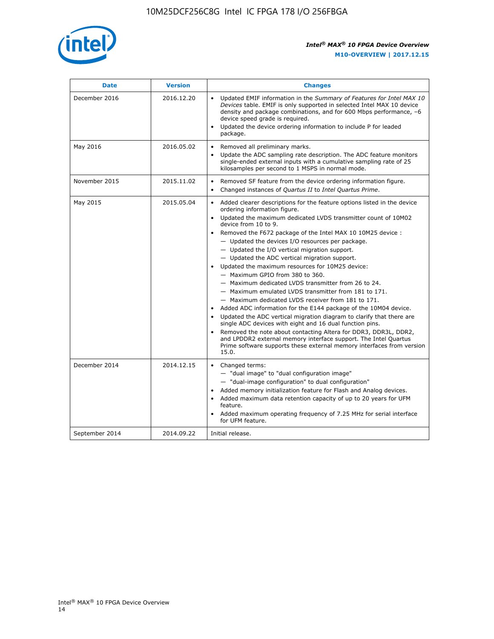

| <b>Date</b>    | <b>Version</b> | <b>Changes</b>                                                                                                                                                                                                                                                                                                                                                                                                                                                                                                                                                                                                                                                                                                                                                                                                                                                                                                                                                                                                                                                                                                  |
|----------------|----------------|-----------------------------------------------------------------------------------------------------------------------------------------------------------------------------------------------------------------------------------------------------------------------------------------------------------------------------------------------------------------------------------------------------------------------------------------------------------------------------------------------------------------------------------------------------------------------------------------------------------------------------------------------------------------------------------------------------------------------------------------------------------------------------------------------------------------------------------------------------------------------------------------------------------------------------------------------------------------------------------------------------------------------------------------------------------------------------------------------------------------|
| December 2016  | 2016.12.20     | • Updated EMIF information in the Summary of Features for Intel MAX 10<br>Devices table. EMIF is only supported in selected Intel MAX 10 device<br>density and package combinations, and for 600 Mbps performance, -6<br>device speed grade is required.<br>Updated the device ordering information to include P for leaded<br>package.                                                                                                                                                                                                                                                                                                                                                                                                                                                                                                                                                                                                                                                                                                                                                                         |
| May 2016       | 2016.05.02     | Removed all preliminary marks.<br>Update the ADC sampling rate description. The ADC feature monitors<br>single-ended external inputs with a cumulative sampling rate of 25<br>kilosamples per second to 1 MSPS in normal mode.                                                                                                                                                                                                                                                                                                                                                                                                                                                                                                                                                                                                                                                                                                                                                                                                                                                                                  |
| November 2015  | 2015.11.02     | Removed SF feature from the device ordering information figure.<br>$\bullet$<br>Changed instances of Quartus II to Intel Quartus Prime.<br>$\bullet$                                                                                                                                                                                                                                                                                                                                                                                                                                                                                                                                                                                                                                                                                                                                                                                                                                                                                                                                                            |
| May 2015       | 2015.05.04     | Added clearer descriptions for the feature options listed in the device<br>ordering information figure.<br>Updated the maximum dedicated LVDS transmitter count of 10M02<br>device from 10 to 9.<br>Removed the F672 package of the Intel MAX 10 10M25 device :<br>- Updated the devices I/O resources per package.<br>- Updated the I/O vertical migration support.<br>- Updated the ADC vertical migration support.<br>Updated the maximum resources for 10M25 device:<br>- Maximum GPIO from 380 to 360.<br>- Maximum dedicated LVDS transmitter from 26 to 24.<br>- Maximum emulated LVDS transmitter from 181 to 171.<br>- Maximum dedicated LVDS receiver from 181 to 171.<br>Added ADC information for the E144 package of the 10M04 device.<br>Updated the ADC vertical migration diagram to clarify that there are<br>single ADC devices with eight and 16 dual function pins.<br>Removed the note about contacting Altera for DDR3, DDR3L, DDR2,<br>and LPDDR2 external memory interface support. The Intel Quartus<br>Prime software supports these external memory interfaces from version<br>15.0. |
| December 2014  | 2014.12.15     | Changed terms:<br>- "dual image" to "dual configuration image"<br>- "dual-image configuration" to dual configuration"<br>Added memory initialization feature for Flash and Analog devices.<br>Added maximum data retention capacity of up to 20 years for UFM<br>feature.<br>Added maximum operating frequency of 7.25 MHz for serial interface<br>for UFM feature.                                                                                                                                                                                                                                                                                                                                                                                                                                                                                                                                                                                                                                                                                                                                             |
| September 2014 | 2014.09.22     | Initial release.                                                                                                                                                                                                                                                                                                                                                                                                                                                                                                                                                                                                                                                                                                                                                                                                                                                                                                                                                                                                                                                                                                |